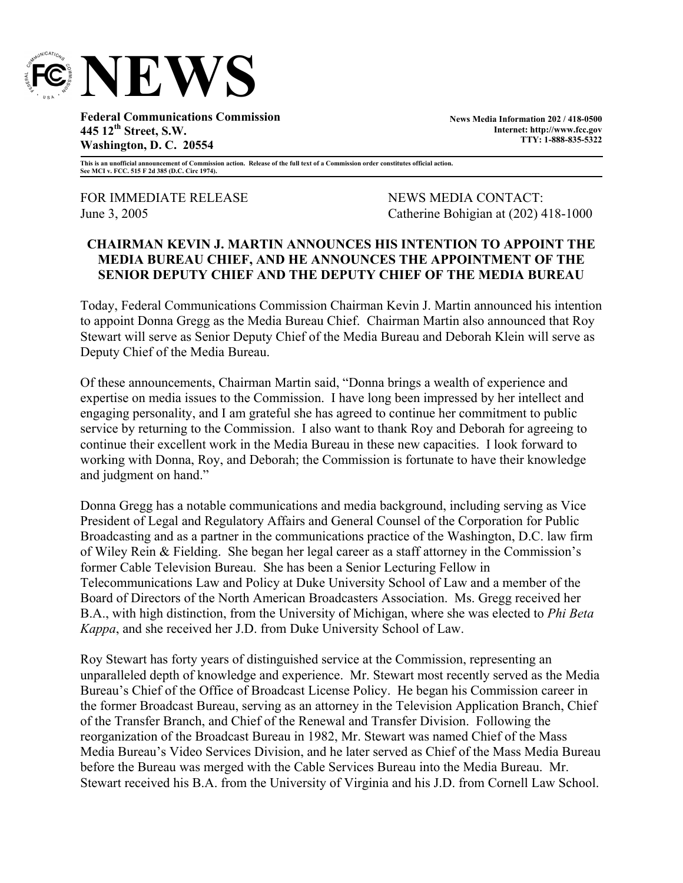

**Federal Communications Commission 445 12th Street, S.W. Washington, D. C. 20554** 

**News Media Information 202 / 418-0500 Internet: http://www.fcc.gov TTY: 1-888-835-5322**

**This is an unofficial announcement of Commission action. Release of the full text of a Commission order constitutes official action. See MCI v. FCC. 515 F 2d 385 (D.C. Circ 1974).** 

FOR IMMEDIATE RELEASE NEWS MEDIA CONTACT:

June 3, 2005 Catherine Bohigian at (202) 418-1000

## **CHAIRMAN KEVIN J. MARTIN ANNOUNCES HIS INTENTION TO APPOINT THE MEDIA BUREAU CHIEF, AND HE ANNOUNCES THE APPOINTMENT OF THE SENIOR DEPUTY CHIEF AND THE DEPUTY CHIEF OF THE MEDIA BUREAU**

Today, Federal Communications Commission Chairman Kevin J. Martin announced his intention to appoint Donna Gregg as the Media Bureau Chief. Chairman Martin also announced that Roy Stewart will serve as Senior Deputy Chief of the Media Bureau and Deborah Klein will serve as Deputy Chief of the Media Bureau.

Of these announcements, Chairman Martin said, "Donna brings a wealth of experience and expertise on media issues to the Commission. I have long been impressed by her intellect and engaging personality, and I am grateful she has agreed to continue her commitment to public service by returning to the Commission. I also want to thank Roy and Deborah for agreeing to continue their excellent work in the Media Bureau in these new capacities. I look forward to working with Donna, Roy, and Deborah; the Commission is fortunate to have their knowledge and judgment on hand."

Donna Gregg has a notable communications and media background, including serving as Vice President of Legal and Regulatory Affairs and General Counsel of the Corporation for Public Broadcasting and as a partner in the communications practice of the Washington, D.C. law firm of Wiley Rein & Fielding. She began her legal career as a staff attorney in the Commission's former Cable Television Bureau. She has been a Senior Lecturing Fellow in Telecommunications Law and Policy at Duke University School of Law and a member of the Board of Directors of the North American Broadcasters Association. Ms. Gregg received her B.A., with high distinction, from the University of Michigan, where she was elected to *Phi Beta Kappa*, and she received her J.D. from Duke University School of Law.

Roy Stewart has forty years of distinguished service at the Commission, representing an unparalleled depth of knowledge and experience. Mr. Stewart most recently served as the Media Bureau's Chief of the Office of Broadcast License Policy. He began his Commission career in the former Broadcast Bureau, serving as an attorney in the Television Application Branch, Chief of the Transfer Branch, and Chief of the Renewal and Transfer Division. Following the reorganization of the Broadcast Bureau in 1982, Mr. Stewart was named Chief of the Mass Media Bureau's Video Services Division, and he later served as Chief of the Mass Media Bureau before the Bureau was merged with the Cable Services Bureau into the Media Bureau. Mr. Stewart received his B.A. from the University of Virginia and his J.D. from Cornell Law School.